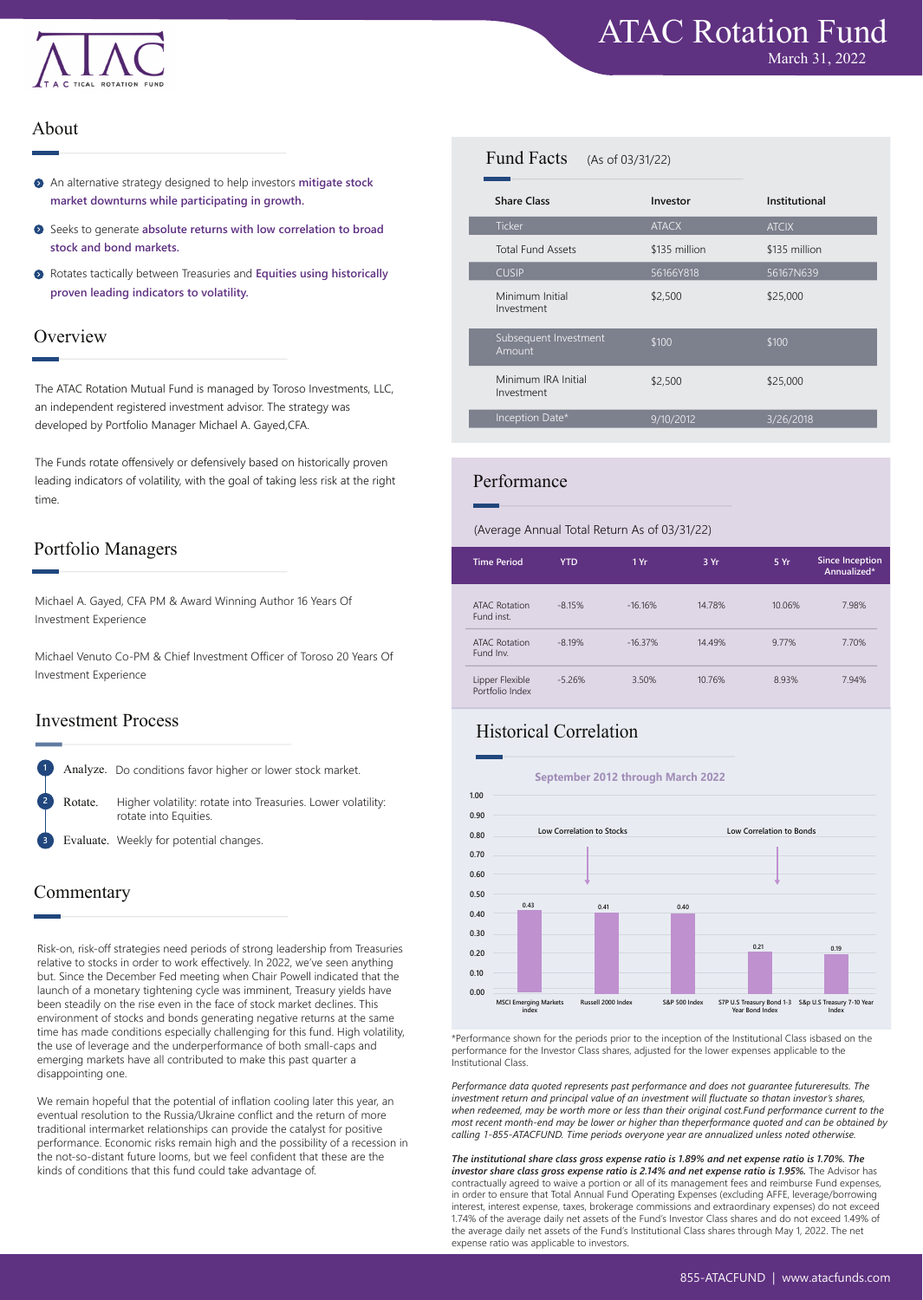

#### About

- An alternative strategy designed to help investors **mitigate stock market downturns while participating in growth.**
- Seeks to generate **absolute returns with low correlation to broad stock and bond markets.**
- Rotates tactically between Treasuries and **Equities using historically proven leading indicators to volatility.**

#### **Overview**

The ATAC Rotation Mutual Fund is managed by Toroso Investments, LLC, an independent registered investment advisor. The strategy was developed by Portfolio Manager Michael A. Gayed,CFA.

The Funds rotate offensively or defensively based on historically proven leading indicators of volatility, with the goal of taking less risk at the right time.

#### Portfolio Managers

Michael A. Gayed, CFA PM & Award Winning Author 16 Years Of Investment Experience

Michael Venuto Co-PM & Chief Investment Officer of Toroso 20 Years Of Investment Experience

#### Investment Process

Analyze. Do conditions favor higher or lower stock market.

Higher volatility: rotate into Treasuries. Lower volatility: rotate into Equities. Rotate.

Evaluate. Weekly for potential changes. **3**

## Commentary

**1**

**2**

Risk-on, risk-off strategies need periods of strong leadership from Treasuries relative to stocks in order to work effectively. In 2022, we've seen anything but. Since the December Fed meeting when Chair Powell indicated that the launch of a monetary tightening cycle was imminent, Treasury yields have been steadily on the rise even in the face of stock market declines. This environment of stocks and bonds generating negative returns at the same time has made conditions especially challenging for this fund. High volatility, the use of leverage and the underperformance of both small-caps and emerging markets have all contributed to make this past quarter a disappointing one.

We remain hopeful that the potential of inflation cooling later this year, an eventual resolution to the Russia/Ukraine conflict and the return of more traditional intermarket relationships can provide the catalyst for positive performance. Economic risks remain high and the possibility of a recession in the not-so-distant future looms, but we feel confident that these are the kinds of conditions that this fund could take advantage of.

#### Fund Facts (As of 03/31/22)

| <b>Share Class</b>                | Investor      | Institutional |  |
|-----------------------------------|---------------|---------------|--|
| <b>Ticker</b>                     | <b>ATACX</b>  | <b>ATCIX</b>  |  |
| <b>Total Fund Assets</b>          | \$135 million | \$135 million |  |
| <b>CUSIP</b>                      | 56166Y818     | 56167N639     |  |
| Minimum Initial<br>Investment     | \$2,500       | \$25,000      |  |
| Subsequent Investment<br>Amount   | \$100         | \$100         |  |
| Minimum IRA Initial<br>Investment | \$2,500       | \$25,000      |  |
| Inception Date*                   | 9/10/2012     | 3/26/2018     |  |
|                                   |               |               |  |

## Performance

(Average Annual Total Return As of 03/31/22)

| <b>Time Period</b>                 | <b>YTD</b> | 1 Yr      | 3 Yr   | 5 Yr   | <b>Since Inception</b><br>Annualized* |
|------------------------------------|------------|-----------|--------|--------|---------------------------------------|
| ATAC Rotation<br>Fund inst.        | $-8.15%$   | $-16.16%$ | 14.78% | 10.06% | 7.98%                                 |
| ATAC Rotation<br>Fund Inv.         | $-8.19%$   | $-16.37%$ | 14.49% | 9.77%  | 7.70%                                 |
| Lipper Flexible<br>Portfolio Index | $-5.26%$   | 3.50%     | 10.76% | 8.93%  | 7.94%                                 |

# Historical Correlation

**1.00 0.90 0.80 0.70 0.60 0.50 0.40 0.30 0.20 0.10 0.00 September 2012 through March 2022 Low Correlation to Stocks MSCI Emerging Markets index 0.43 0.41 0.40 0.21 0.19 Russell 2000 Index S&P 500 Index S7P U.S Treasury Bond 1-3 S&p U.S Treasury 7-10 Year Year Bond Index Index Low Correlation to Bonds**

\*Performance shown for the periods prior to the inception of the Institutional Class isbased on the performance for the Investor Class shares, adjusted for the lower expenses applicable to the Institutional Class.

*Performance data quoted represents past performance and does not guarantee futureresults. The*  investment return and principal value of an investment will fluctuate so thatan investor's shares,<br>when redeemed, may be worth more or less than their original cost.Fund performance current to the *most recent month-end may be lower or higher than theperformance quoted and can be obtained by calling 1-855-ATACFUND. Time periods overyone year are annualized unless noted otherwise.*

*The institutional share class gross expense ratio is 1.89% and net expense ratio is 1.70%. The*  investor share class gross expense ratio is 2.14% and net expense ratio is 1.95%. The Advisor has contractually agreed to waive a portion or all of its management fees and reimburse Fund expenses, in order to ensure that Total Annual Fund Operating Expenses (excluding AFFE, leverage/borrowing interest, interest expense, taxes, brokerage commissions and extraordinary expenses) do not exceed 1.74% of the average daily net assets of the Fund's Investor Class shares and do not exceed 1.49% of the average daily net assets of the Fund's Institutional Class shares through May 1, 2022. The net expense ratio was applicable to investors.